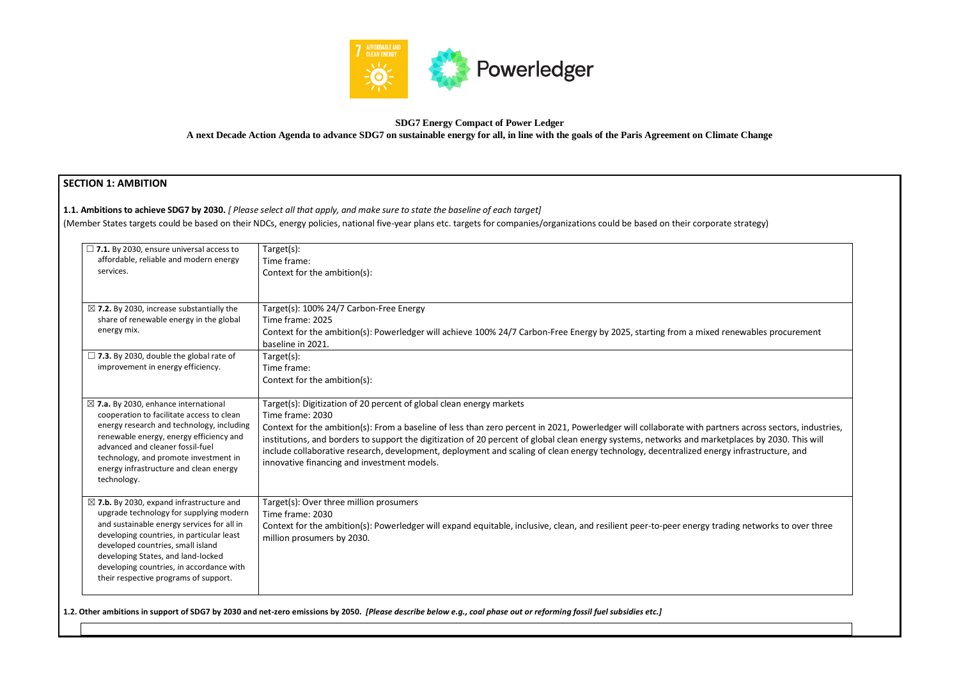

#### **SDG7 Energy Compact of Power Ledger**

**A next Decade Action Agenda to advance SDG7 on sustainable energy for all, in line with the goals of the Paris Agreement on Climate Change**

# **SECTION 1: AMBITION**

**1.1. Ambitions to achieve SDG7 by 2030.** *[ Please select all that apply, and make sure to state the baseline of each target]* 

(Member States targets could be based on their NDCs, energy policies, national five-year plans etc. targets for companies/organizations could be based on their corporat

| $\Box$ 7.1. By 2030, ensure universal access to<br>affordable, reliable and modern energy<br>services.                                                                                                                                                                                                                                                    | Target(s):<br>Time frame:<br>Context for the ambition(s):                                                                                                                                                                                                                                                                                                                                                                                                                                                                                                                                         |
|-----------------------------------------------------------------------------------------------------------------------------------------------------------------------------------------------------------------------------------------------------------------------------------------------------------------------------------------------------------|---------------------------------------------------------------------------------------------------------------------------------------------------------------------------------------------------------------------------------------------------------------------------------------------------------------------------------------------------------------------------------------------------------------------------------------------------------------------------------------------------------------------------------------------------------------------------------------------------|
| $\boxtimes$ 7.2. By 2030, increase substantially the<br>share of renewable energy in the global<br>energy mix.                                                                                                                                                                                                                                            | Target(s): 100% 24/7 Carbon-Free Energy<br>Time frame: 2025<br>Context for the ambition(s): Powerledger will achieve 100% 24/7 Carbon-Free Energy by 2025, starting from a mixed renewables procurement<br>baseline in 2021.                                                                                                                                                                                                                                                                                                                                                                      |
| $\Box$ 7.3. By 2030, double the global rate of<br>improvement in energy efficiency.                                                                                                                                                                                                                                                                       | Target(s):<br>Time frame:<br>Context for the ambition(s):                                                                                                                                                                                                                                                                                                                                                                                                                                                                                                                                         |
| $\boxtimes$ 7.a. By 2030, enhance international<br>cooperation to facilitate access to clean<br>energy research and technology, including<br>renewable energy, energy efficiency and<br>advanced and cleaner fossil-fuel<br>technology, and promote investment in<br>energy infrastructure and clean energy<br>technology.                                | Target(s): Digitization of 20 percent of global clean energy markets<br>Time frame: 2030<br>Context for the ambition(s): From a baseline of less than zero percent in 2021, Powerledger will collaborate with partners across sectors, industries,<br>institutions, and borders to support the digitization of 20 percent of global clean energy systems, networks and marketplaces by 2030. This will<br>include collaborative research, development, deployment and scaling of clean energy technology, decentralized energy infrastructure, and<br>innovative financing and investment models. |
| $\boxtimes$ 7.b. By 2030, expand infrastructure and<br>upgrade technology for supplying modern<br>and sustainable energy services for all in<br>developing countries, in particular least<br>developed countries, small island<br>developing States, and land-locked<br>developing countries, in accordance with<br>their respective programs of support. | Target(s): Over three million prosumers<br>Time frame: 2030<br>Context for the ambition(s): Powerledger will expand equitable, inclusive, clean, and resilient peer-to-peer energy trading networks to over three<br>million prosumers by 2030.                                                                                                                                                                                                                                                                                                                                                   |

**1.2. Other ambitions in support of SDG7 by 2030 and net-zero emissions by 2050.** *[Please describe below e.g., coal phase out or reforming fossil fuel subsidies etc.]*

| te strategy)                                                                              |  |
|-------------------------------------------------------------------------------------------|--|
|                                                                                           |  |
|                                                                                           |  |
| enewables procurement                                                                     |  |
|                                                                                           |  |
|                                                                                           |  |
| ners across sectors, industries,<br>etplaces by 2030. This will<br>gy infrastructure, and |  |
|                                                                                           |  |
| ding networks to over three                                                               |  |
|                                                                                           |  |
|                                                                                           |  |
|                                                                                           |  |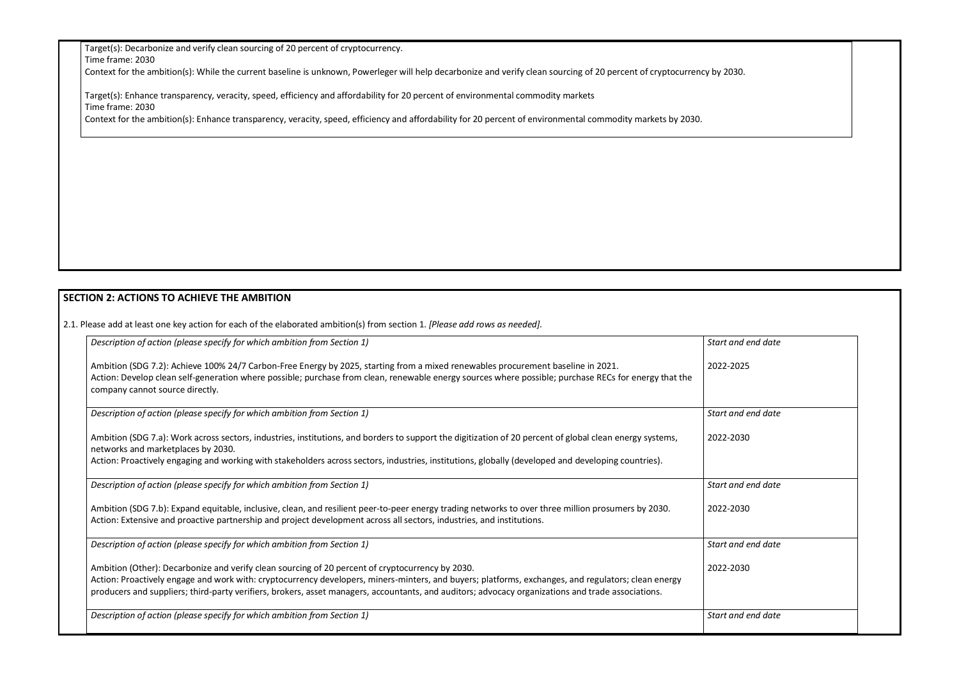Target(s): Decarbonize and verify clean sourcing of 20 percent of cryptocurrency.

Time frame: 2030

Context for the ambition(s): While the current baseline is unknown, Powerleger will help decarbonize and verify clean sourcing of 20 percent of cryptocurrency by

Target(s): Enhance transparency, veracity, speed, efficiency and affordability for 20 percent of environmental commodity markets Time frame: 2030

Context for the ambition(s): Enhance transparency, veracity, speed, efficiency and affordability for 20 percent of environmental commodity markets by 2030.

## **SECTION 2: ACTIONS TO ACHIEVE THE AMBITION**

2.1. Please add at least one key action for each of the elaborated ambition(s) from section 1. *[Please add rows as needed].*

| y by 2030.         |  |
|--------------------|--|
|                    |  |
|                    |  |
|                    |  |
|                    |  |
|                    |  |
| Start and end date |  |
| 2022-2025          |  |
| Start and end date |  |
| 2022-2030          |  |

| Description of action (please specify for which ambition from Section 1)                                                                                                                                                                                                                                                     | Start and end date |
|------------------------------------------------------------------------------------------------------------------------------------------------------------------------------------------------------------------------------------------------------------------------------------------------------------------------------|--------------------|
| Ambition (SDG 7.2): Achieve 100% 24/7 Carbon-Free Energy by 2025, starting from a mixed renewables procurement baseline in 2021.<br>Action: Develop clean self-generation where possible; purchase from clean, renewable energy sources where possible; purchase RECs for energy that the<br>company cannot source directly. | 2022-2025          |
| Description of action (please specify for which ambition from Section 1)                                                                                                                                                                                                                                                     | Start and end date |
| Ambition (SDG 7.a): Work across sectors, industries, institutions, and borders to support the digitization of 20 percent of global clean energy systems,<br>networks and marketplaces by 2030.                                                                                                                               | 2022-2030          |
| Action: Proactively engaging and working with stakeholders across sectors, industries, institutions, globally (developed and developing countries).                                                                                                                                                                          |                    |
| Description of action (please specify for which ambition from Section 1)                                                                                                                                                                                                                                                     | Start and end date |
| Ambition (SDG 7.b): Expand equitable, inclusive, clean, and resilient peer-to-peer energy trading networks to over three million prosumers by 2030.<br>Action: Extensive and proactive partnership and project development across all sectors, industries, and institutions.                                                 | 2022-2030          |
| Description of action (please specify for which ambition from Section 1)                                                                                                                                                                                                                                                     | Start and end date |
| Ambition (Other): Decarbonize and verify clean sourcing of 20 percent of cryptocurrency by 2030.<br>Action: Proactively engage and work with: cryptocurrency developers, miners-minters, and buyers; platforms, exchanges, and regulators; clean energy                                                                      | 2022-2030          |
| producers and suppliers; third-party verifiers, brokers, asset managers, accountants, and auditors; advocacy organizations and trade associations.                                                                                                                                                                           |                    |
| Description of action (please specify for which ambition from Section 1)                                                                                                                                                                                                                                                     | Start and end date |
|                                                                                                                                                                                                                                                                                                                              |                    |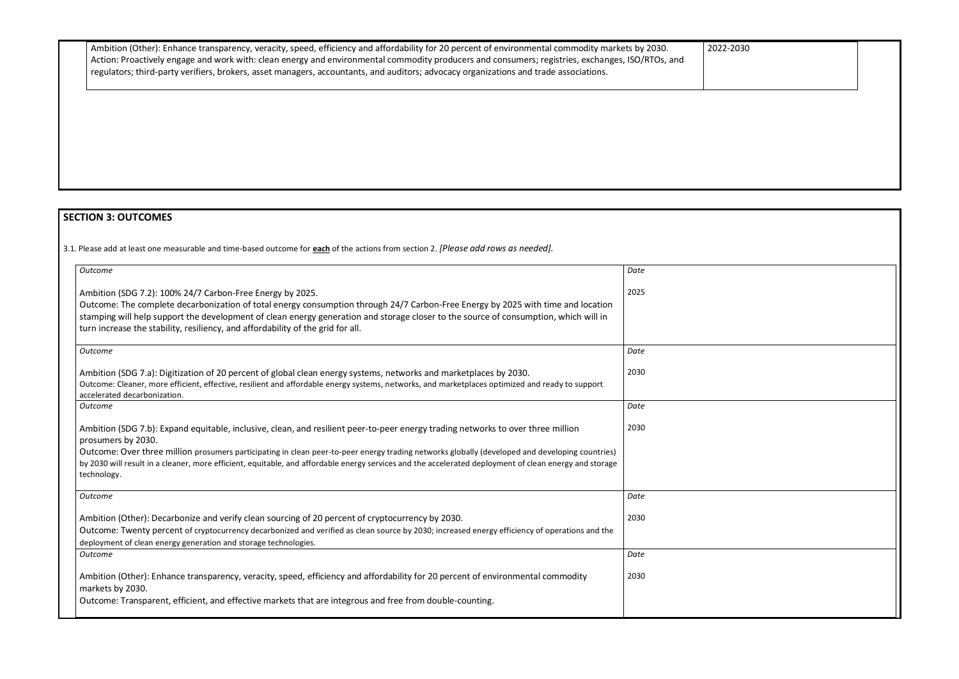| Ambition (Other): Enhance transparency, veracity, speed, efficiency and affordability for 20 percent of environmental commodity markets by 2030. |
|--------------------------------------------------------------------------------------------------------------------------------------------------|
| Action: Proactively engage and work with: clean energy and environmental commodity producers and consumers; registries, exchanges, ISO/RTOs, and |
| regulators; third-party verifiers, brokers, asset managers, accountants, and auditors; advocacy organizations and trade associations.            |

# **SECTION 3: OUTCOMES**

3.1*.* Please add at least one measurable and time-based outcome for **each** of the actions from section 2. *[Please add rows as needed].*

| <b>Outcome</b>                                                                                                                                                                                                                                                                                                                                                                                                                                                                     | Date |
|------------------------------------------------------------------------------------------------------------------------------------------------------------------------------------------------------------------------------------------------------------------------------------------------------------------------------------------------------------------------------------------------------------------------------------------------------------------------------------|------|
| Ambition (SDG 7.2): 100% 24/7 Carbon-Free Energy by 2025.<br>Outcome: The complete decarbonization of total energy consumption through 24/7 Carbon-Free Energy by 2025 with time and location<br>stamping will help support the development of clean energy generation and storage closer to the source of consumption, which will in<br>turn increase the stability, resiliency, and affordability of the grid for all.                                                           | 2025 |
| <b>Outcome</b>                                                                                                                                                                                                                                                                                                                                                                                                                                                                     | Date |
| Ambition (SDG 7.a): Digitization of 20 percent of global clean energy systems, networks and marketplaces by 2030.<br>Outcome: Cleaner, more efficient, effective, resilient and affordable energy systems, networks, and marketplaces optimized and ready to support<br>accelerated decarbonization.                                                                                                                                                                               | 2030 |
| Outcome                                                                                                                                                                                                                                                                                                                                                                                                                                                                            | Date |
| Ambition (SDG 7.b): Expand equitable, inclusive, clean, and resilient peer-to-peer energy trading networks to over three million<br>prosumers by 2030.<br>Outcome: Over three million prosumers participating in clean peer-to-peer energy trading networks globally (developed and developing countries)<br>by 2030 will result in a cleaner, more efficient, equitable, and affordable energy services and the accelerated deployment of clean energy and storage<br>technology. | 2030 |
| Outcome                                                                                                                                                                                                                                                                                                                                                                                                                                                                            | Date |
| Ambition (Other): Decarbonize and verify clean sourcing of 20 percent of cryptocurrency by 2030.<br>Outcome: Twenty percent of cryptocurrency decarbonized and verified as clean source by 2030; increased energy efficiency of operations and the<br>deployment of clean energy generation and storage technologies.                                                                                                                                                              | 2030 |
| <b>Outcome</b>                                                                                                                                                                                                                                                                                                                                                                                                                                                                     | Date |
| Ambition (Other): Enhance transparency, veracity, speed, efficiency and affordability for 20 percent of environmental commodity<br>markets by 2030.                                                                                                                                                                                                                                                                                                                                | 2030 |
| Outcome: Transparent, efficient, and effective markets that are integrous and free from double-counting.                                                                                                                                                                                                                                                                                                                                                                           |      |

| 2022-2030 |
|-----------|
|-----------|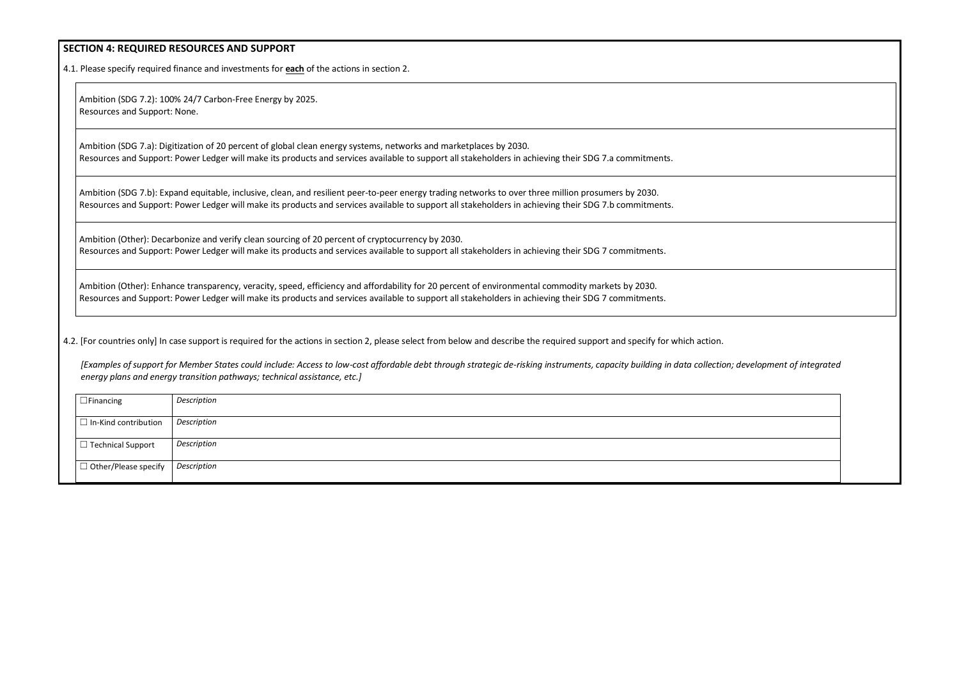### **SECTION 4: REQUIRED RESOURCES AND SUPPORT**

4.1. Please specify required finance and investments for **each** of the actions in section 2.

Ambition (SDG 7.2): 100% 24/7 Carbon-Free Energy by 2025. Resources and Support: None.

Ambition (SDG 7.a): Digitization of 20 percent of global clean energy systems, networks and marketplaces by 2030. Resources and Support: Power Ledger will make its products and services available to support all stakeholders in achieving their SDG 7.a commitments.

Ambition (SDG 7.b): Expand equitable, inclusive, clean, and resilient peer-to-peer energy trading networks to over three million prosumers by 2030. Resources and Support: Power Ledger will make its products and services available to support all stakeholders in achieving their SDG 7.b commitments.

[Examples of support for Member States could include: Access to low-cost affordable debt through strategic de-risking instruments, capacity building in data collectio *energy plans and energy transition pathways; technical assistance, etc.]*

Ambition (Other): Decarbonize and verify clean sourcing of 20 percent of cryptocurrency by 2030. Resources and Support: Power Ledger will make its products and services available to support all stakeholders in achieving their SDG 7 commitments.

Ambition (Other): Enhance transparency, veracity, speed, efficiency and affordability for 20 percent of environmental commodity markets by 2030. Resources and Support: Power Ledger will make its products and services available to support all stakeholders in achieving their SDG 7 commitments.

4.2. [For countries only] In case support is required for the actions in section 2, please select from below and describe the required support and specify for which action.

| $\Box$ Financing            | Description |
|-----------------------------|-------------|
| $\Box$ In-Kind contribution | Description |
| $\Box$ Technical Support    | Description |
| $\Box$ Other/Please specify | Description |

| on; development of integrated |  |
|-------------------------------|--|
|                               |  |
|                               |  |
|                               |  |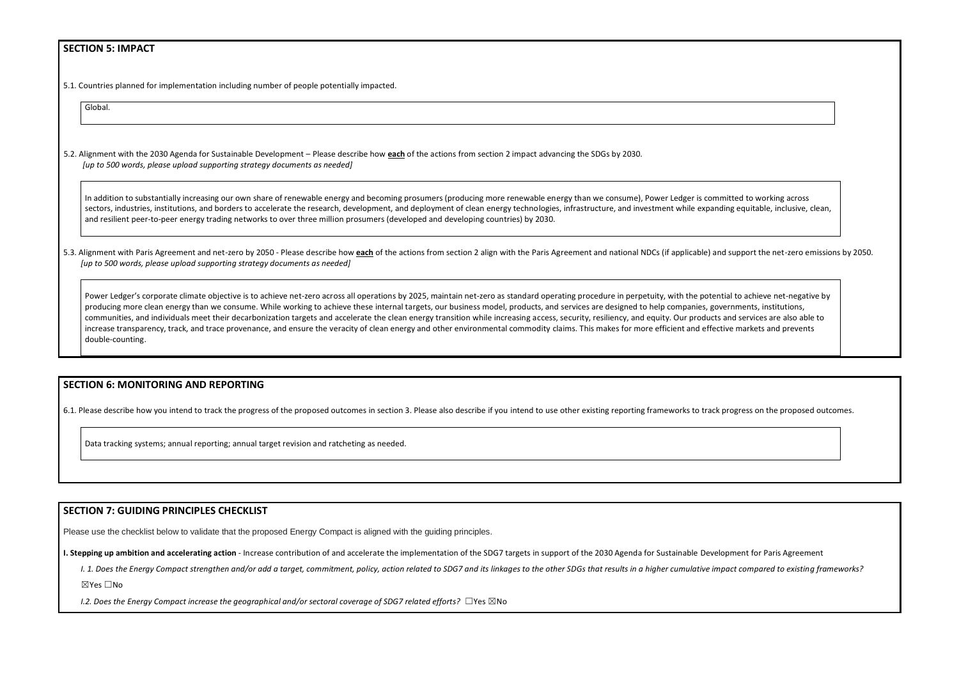### **SECTION 5: IMPACT**

5.1. Countries planned for implementation including number of people potentially impacted.

Global.

5.2. Alignment with the 2030 Agenda for Sustainable Development – Please describe how **each** of the actions from section 2 impact advancing the SDGs by 2030. *[up to 500 words, please upload supporting strategy documents as needed]* 

In addition to substantially increasing our own share of renewable energy and becoming prosumers (producing more renewable energy than we consume), Power Ledger is committed to working across sectors, industries, institutions, and borders to accelerate the research, development, and deployment of clean energy technologies, infrastructure, and investment while expanding equitable, inclusive, clean, and resilient peer-to-peer energy trading networks to over three million prosumers (developed and developing countries) by 2030.

5.3. Alignment with Paris Agreement and net-zero by 2050 - Please describe how each of the actions from section 2 align with the Paris Agreement and national NDCs (if applicable) and support the net-zero emissions by 2050. *[up to 500 words, please upload supporting strategy documents as needed]* 

Power Ledger's corporate climate objective is to achieve net-zero across all operations by 2025, maintain net-zero as standard operating procedure in perpetuity, with the potential to achieve net-negative by producing more clean energy than we consume. While working to achieve these internal targets, our business model, products, and services are designed to help companies, governments, institutions, communities, and individuals meet their decarbonization targets and accelerate the clean energy transition while increasing access, security, resiliency, and equity. Our products and services are also able to increase transparency, track, and trace provenance, and ensure the veracity of clean energy and other environmental commodity claims. This makes for more efficient and effective markets and prevents double-counting.

### **SECTION 6: MONITORING AND REPORTING**

6.1. Please describe how you intend to track the progress of the proposed outcomes in section 3. Please also describe if you intend to use other existing reporting frameworks to track progress on the proposed outcomes.

Data tracking systems; annual reporting; annual target revision and ratcheting as needed.

#### **SECTION 7: GUIDING PRINCIPLES CHECKLIST**

Please use the checklist below to validate that the proposed Energy Compact is aligned with the guiding principles.

I. Stepping up ambition and accelerating action - Increase contribution of and accelerate the implementation of the SDG7 targets in support of the 2030 Agenda for Sustainable Development for Paris Agreement

I. 1. Does the Energy Compact strengthen and/or add a target, commitment, policy, action related to SDG7 and its linkages to the other SDGs that results in a higher cumulative impact compared to existing frameworks?

☒Yes ☐No

*I.2. Does the Energy Compact increase the geographical and/or sectoral coverage of SDG7 related efforts?* ☐Yes ☒No

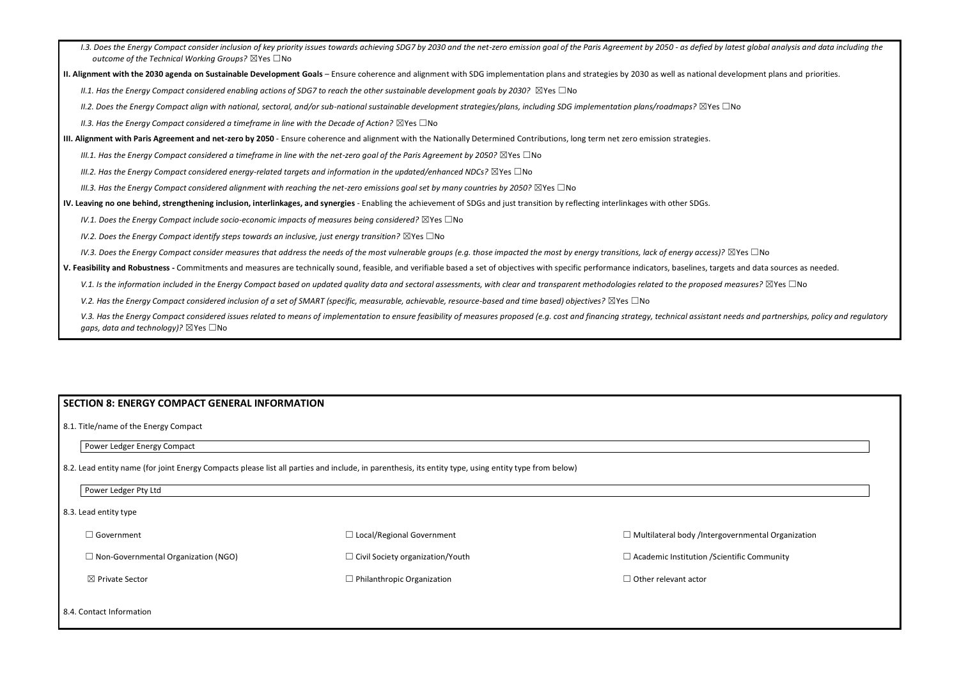- I.3. Does the Energy Compact consider inclusion of key priority issues towards achieving SDG7 by 2030 and the net-zero emission goal of the Paris Agreement by 2050 as defied by latest global analysis and data including t *outcome of the Technical Working Groups?* ☒Yes ☐No
- **II. Alignment with the 2030 agenda on Sustainable Development Goals** Ensure coherence and alignment with SDG implementation plans and strategies by 2030 as well as national development plans and priorities.

*II.1. Has the Energy Compact considered enabling actions of SDG7 to reach the other sustainable development goals by 2030?* ⊠Yes □No

*II.2. Does the Energy Compact align with national, sectoral, and/or sub-national sustainable development strategies/plans, including SDG implementation plans/roadmaps?* ☒Yes ☐No

*II.3. Has the Energy Compact considered a timeframe in line with the Decade of Action?* ⊠Yes □No

**III. Alignment with Paris Agreement and net-zero by 2050** - Ensure coherence and alignment with the Nationally Determined Contributions, long term net zero emission strategies.

*III.1. Has the Energy Compact considered a timeframe in line with the net-zero goal of the Paris Agreement by 2050?* ⊠Yes □No

*III.2. Has the Energy Compact considered energy-related targets and information in the updated/enhanced NDCs?* ⊠Yes □No

*III.3. Has the Energy Compact considered alignment with reaching the net-zero emissions goal set by many countries by 2050?* ⊠Yes □No

**IV. Leaving no one behind, strengthening inclusion, interlinkages, and synergies** - Enabling the achievement of SDGs and just transition by reflecting interlinkages with other SDGs.

*IV.1. Does the Energy Compact include socio-economic impacts of measures being considered?* ⊠Yes □No

*IV.2. Does the Energy Compact identify steps towards an inclusive, just energy transition?* ⊠Yes □No

*IV.3. Does the Energy Compact consider measures that address the needs of the most vulnerable groups (e.g. those impacted the most by energy transitions, lack of energy access)?* ⊠Yes □No

**V. Feasibility and Robustness -** Commitments and measures are technically sound, feasible, and verifiable based a set of objectives with specific performance indicators, baselines, targets and data sources as needed.

V.1. Is the information included in the Energy Compact based on updated quality data and sectoral assessments, with clear and transparent methodologies related to the proposed measures? ⊠Yes □No

*V.2. Has the Energy Compact considered inclusion of a set of SMART (specific, measurable, achievable, resource-based and time based) objectives?* ⊠Yes □No

V.3. Has the Energy Compact considered issues related to means of implementation to ensure feasibility of measures proposed (e.g. cost and financing strategy, technical assistant needs and partnerships, policy and regulato *gaps, data and technology*)? ⊠Yes □No

| <b>SECTION 8: ENERGY COMPACT GENERAL INFORMATION</b>                                                                                                 |                                         |                                                          |  |  |
|------------------------------------------------------------------------------------------------------------------------------------------------------|-----------------------------------------|----------------------------------------------------------|--|--|
| 8.1. Title/name of the Energy Compact                                                                                                                |                                         |                                                          |  |  |
| Power Ledger Energy Compact                                                                                                                          |                                         |                                                          |  |  |
| 8.2. Lead entity name (for joint Energy Compacts please list all parties and include, in parenthesis, its entity type, using entity type from below) |                                         |                                                          |  |  |
| Power Ledger Pty Ltd                                                                                                                                 |                                         |                                                          |  |  |
| 8.3. Lead entity type                                                                                                                                |                                         |                                                          |  |  |
| $\Box$ Government                                                                                                                                    | $\Box$ Local/Regional Government        | $\Box$ Multilateral body /Intergovernmental Organization |  |  |
| $\Box$ Non-Governmental Organization (NGO)                                                                                                           | $\Box$ Civil Society organization/Youth | $\Box$ Academic Institution / Scientific Community       |  |  |
| ⊠ Private Sector                                                                                                                                     | $\Box$ Philanthropic Organization       | $\Box$ Other relevant actor                              |  |  |
| 8.4. Contact Information                                                                                                                             |                                         |                                                          |  |  |